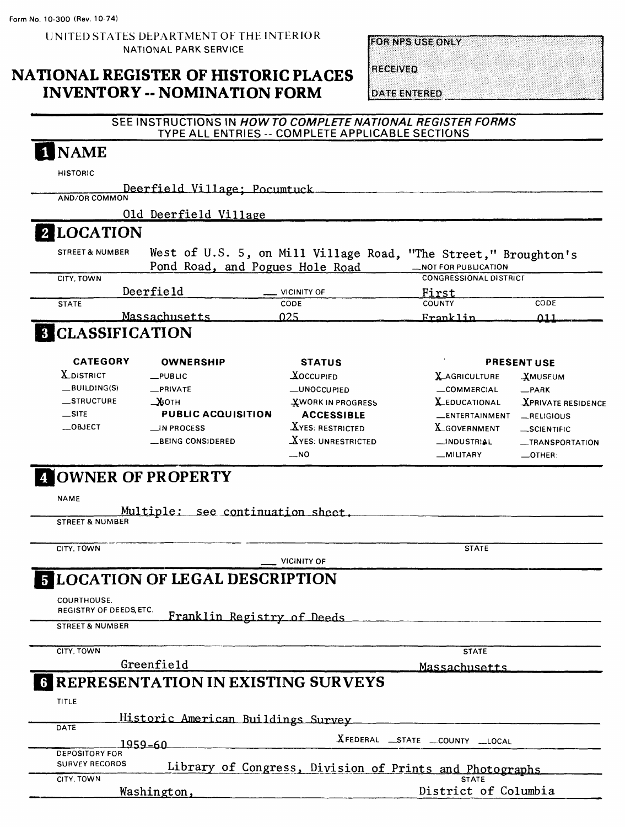**EOR NPS USE ONLY** 

## NATIONAL REGISTER OF HISTORIC PLACES INVENTORY -- NOMINATION FORM

**RECEIVED** 

**DATE ENTERED** 

### SEE INSTRUCTIONS IN HOW TO COMPLETE NATIONAL REGISTER FORMS TYPE ALL ENTRIES -- COMPLETE APPLICABLE SECTIONS

# NAME

HISTORIC

Deerfield Village

Old Deerfield Village

# **2 LOCATION**

| <b>STREET &amp; NUMBER</b> | Pond Road, and Pogues Hole Road   | West of U.S. 5, on Mill Village Road, "The Street," Broughton's<br>_NOT FOR PUBLICATION |      |
|----------------------------|-----------------------------------|-----------------------------------------------------------------------------------------|------|
| CITY. TOWN                 |                                   | <b>CONGRESSIONAL DISTRICT</b>                                                           |      |
|                            | Deerfield<br>$\equiv$ VICINITY OF | First                                                                                   |      |
| <b>STATE</b>               | <b>CODE</b>                       | <b>COUNTY</b>                                                                           | CODE |
|                            | Massachusetts                     | Franklin                                                                                | 11   |

# **8 CLASSIFICATION**

| <b>CATEGORY</b>   | <b>OWNERSHIP</b>          | <b>STATUS</b>            | <b>PRESENT USE</b>      |                           |  |  |  |  |  |  |
|-------------------|---------------------------|--------------------------|-------------------------|---------------------------|--|--|--|--|--|--|
| <b>X</b> DISTRICT | $-$ PUBLIC                | <b>XOCCUPIED</b>         | <b>X_AGRICULTURE</b>    | <b>XMUSEUM</b>            |  |  |  |  |  |  |
| $-BULDING(S)$     | $\equiv$ PRIVATE          | -UNOCCUPIED              | COMMERCIAL              | $\_PARK$                  |  |  |  |  |  |  |
| $S$ TRUCTURE      | _>&отн                    | <b>XWORK IN PROGRESS</b> | <b>X_EDUCATIONAL</b>    | <b>XPRIVATE RESIDENCE</b> |  |  |  |  |  |  |
| $\equiv$ SITE     | <b>PUBLIC ACQUISITION</b> | <b>ACCESSIBLE</b>        | <b>LENTERTAINMENT</b>   | RELIGIOUS                 |  |  |  |  |  |  |
| $\_\$ OBJECT      | $\Box$ IN PROCESS         | XYES: RESTRICTED         | X <sub>GOVERNMENT</sub> | $-SCIENTIFIC$             |  |  |  |  |  |  |
|                   | __BEING CONSIDERED        | $X$ YES: UNRESTRICTED    | $\Box$ INDUSTRIAL       | -TRANSPORTATION           |  |  |  |  |  |  |
|                   |                           | $-NO$                    | _MILITARY               | $\equiv$ OTHER:           |  |  |  |  |  |  |

## |OWNER OF PROPERTY

NAME

Multiple: see continuation sheet.

STREET & NUMBER

CITY, TOWN STATE

VICINITY OF

# **ELOCATION OF LEGAL DESCRIPTION**

Greenfield

COURTHOUSE. REGISTRY OF DEEDS,ETC

Franklin Registry of Deeds STREET & NUMBER

CITY, TOWN STATE

Massachusetts

# **6 REPRESENTATION IN EXISTING SURVEYS**

| <b>TITLE</b>          |                                    |                                                         |
|-----------------------|------------------------------------|---------------------------------------------------------|
|                       | Historic American Buildings Survey |                                                         |
| DATE                  |                                    |                                                         |
|                       | 1959-60.                           | XFEDERAL STATE COUNTY LLOCAL                            |
| <b>DEPOSITORY FOR</b> |                                    |                                                         |
| <b>SURVEY RECORDS</b> |                                    | Library of Congress, Division of Prints and Photographs |
| CITY. TOWN            |                                    | <b>STATE</b>                                            |
|                       | Washington,                        | District of Columbia                                    |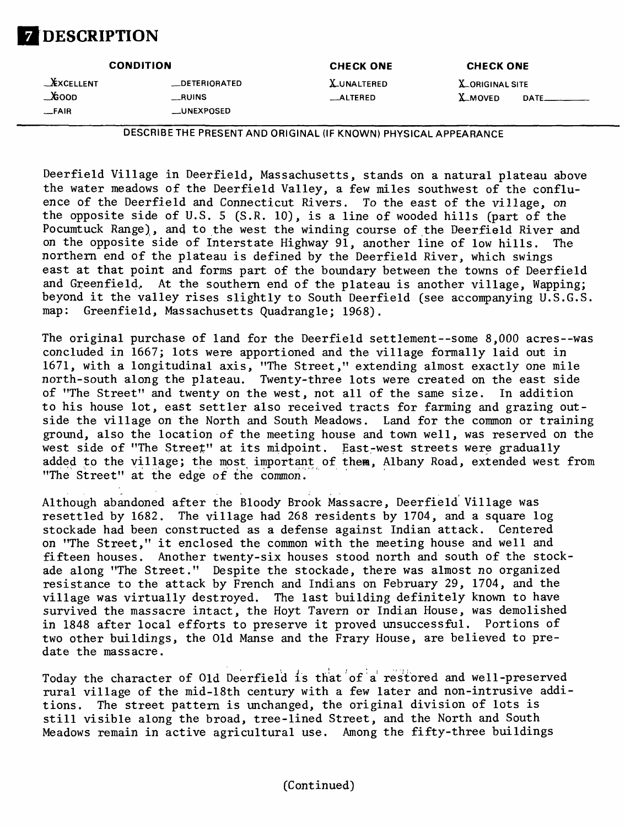# <sup>i</sup> **DESCRIPTION**

| <b>CONDITION</b>                              |                                      | <b>CHECK ONE</b>                   | <b>CHECK ONE</b>                         |       |  |  |  |  |  |  |  |
|-----------------------------------------------|--------------------------------------|------------------------------------|------------------------------------------|-------|--|--|--|--|--|--|--|
| <b>EXCELLENT</b><br>$\Delta$ coop<br>$-$ FAIR | _DETERIORATED<br>RUNS<br>__UNEXPOSED | <b>X_UNALTERED</b><br>$\_$ ALTERED | <b>X.ORIGINAL SITE</b><br><b>X_MOVED</b> | DATE_ |  |  |  |  |  |  |  |

DESCRIBE THE PRESENT AND ORIGINAL (IF KNOWN) PHYSICAL APPEARANCE

Deerfield Village in Deerfield, Massachusetts, stands on a natural plateau above the water meadows of the Deerfield Valley, a few miles southwest of the confluence of the Deerfield and Connecticut Rivers. To the east of the village, on the opposite side of U.S. 5 (S.R. 10), is a line of wooded hills (part of the Pocumtuck Range), and to the west the winding course of the Deerfield River and on the opposite side of Interstate Highway 91, another line of low hills. The northern end of the plateau is defined by the Deerfield River, which swings east at that point and forms part of the boundary between the towns of Deerfield and Greenfield, At the southern end of the plateau is another village, Wapping; beyond it the valley rises slightly to South Deerfield (see accompanying U.S.G.S. map: Greenfield, Massachusetts Quadrangle: 1968).

The original purchase of land for the Deerfield settlement--some  $8,000$  acres--was concluded in 1667; lots were apportioned and the village formally laid out in 1671, with a longitudinal axis, "The Street," extending almost exactly one mile north-south along the plateau. Twenty-three lots were created on the east side of "The Street" and twenty on the west, not all of the same size. In addition to his house lot, east settler also received tracts for farming and grazing outside the village on the North and South Meadows. Land for the common or training ground, also the location of the meeting house and town well, was reserved on the west side of "The Street" at its midpoint. East-west streets were gradually added to the village; the most important of them, Albany Road, extended west from "The Street" at the edge of the common.

Although abandoned after the Bloody Brook Massacre, Deerfield Village was resettled by 1682. The village had 268 residents by 1704, and a square log stockade had been constructed as a defense against Indian attack. Centered on "The Street," it enclosed the common with the meeting house and well and fifteen houses. Another twenty-six houses stood north and south of the stockade along "The Street." Despite the stockade, there was almost no organized resistance to the attack by French and Indians on February 29, 1704, and the village was virtually destroyed. The last building definitely known to have survived the massacre intact, the Hoyt Tavern or Indian House, was demolished in 1848 after local efforts to preserve it proved unsuccessful. Portions of two other buildings, the Old Manse and the Frary House, are believed to predate the massacre.

Today the character of Old Deerfield is that of a restored and well-preserved rural village of the mid-18th century with a few later and non-intrusive additions. The street pattern is unchanged, the original division of lots is still visible along the broad, tree-lined Street, and the North and South Meadows remain in active agricultural use. Among the fifty-three buildings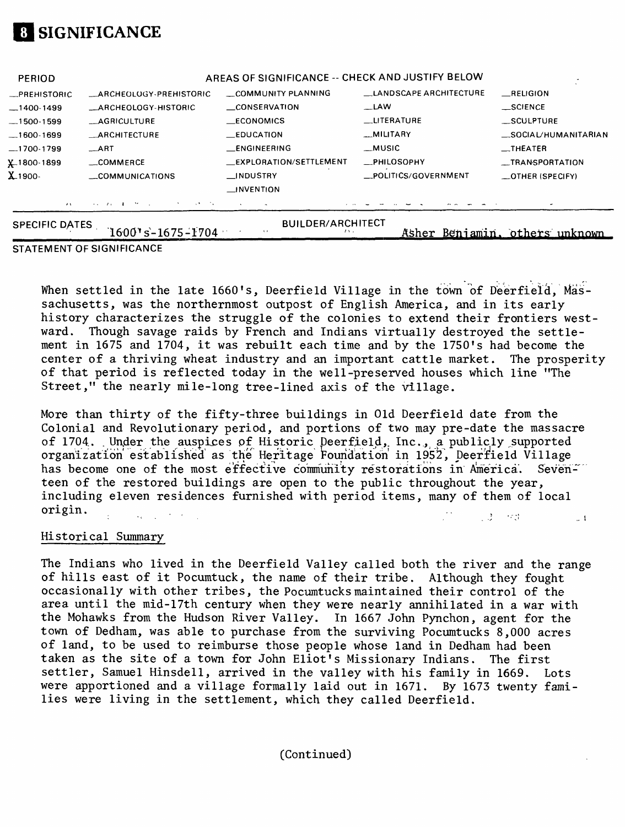

| <b>PERIOD</b>         |                                                        | AREAS OF SIGNIFICANCE -- CHECK AND JUSTIFY BELOW |                               |                                  |  |  |  |
|-----------------------|--------------------------------------------------------|--------------------------------------------------|-------------------------------|----------------------------------|--|--|--|
| -PREHISTORIC          | _ARCHEOLOGY-PREHISTORIC                                | COMMUNITY PLANNING                               | <b>LANDSCAPE ARCHITECTURE</b> | RELIGION                         |  |  |  |
| $-1400-1499$          | <b>ARCHEOLOGY-HISTORIC</b>                             | CONSERVATION                                     | $-LAW$                        | $\equiv$ SCIENCE                 |  |  |  |
| $-1500-1599$          | <b>__AGRICULTURE</b>                                   | ECONOMICS                                        | <b>LITERATURE</b>             | <b>SCULPTURE</b>                 |  |  |  |
| $-1600-1699$          | <b>ARCHITECTURE</b>                                    | $\_$ EDUCATION                                   | __MILITARY                    | _SOCIAL/HUMANITARIAN             |  |  |  |
| $-1700-1799$          | $\_$ ART                                               | <b>LENGINEERING</b>                              | __MUSIC                       | $\overline{\phantom{a}}$ THEATER |  |  |  |
| X1800-1899            | __COMMERCE                                             | <b>EXPLORATION/SETTLEMENT</b>                    | <b>__PHILOSOPHY</b>           | __TRANSPORTATION                 |  |  |  |
| X 1900-               | $\equiv$ COMMUNICATIONS                                | __INDUSTRY                                       | _POLITICS/GOVERNMENT          | _OTHER (SPECIFY)                 |  |  |  |
|                       |                                                        | $\Box$ INVENTION                                 |                               |                                  |  |  |  |
| $\mathcal{F}$ V       | And the Committee of the Com-<br>the company's company |                                                  |                               |                                  |  |  |  |
| <b>SPECIFIC DATES</b> | $1600$ 's-1675-1704                                    | <b>BUILDER/ARCHITECT</b><br>$\cdots$             |                               | Asher Beniamin, others unknown   |  |  |  |

#### **STATEMENT OF SIGNIFICANCE**

When settled in the late 1660's, Deerfield Village in the town of Deerfield, Massachusetts, was the northernmost outpost of English America, and in its early history characterizes the struggle of the colonies to extend their frontiers westward. Though savage raids by French and Indians virtually destroyed the settlement in 1675 and 1704, it was rebuilt each time and by the 1750's had become the center of a thriving wheat industry and an important cattle market. The prosperity of that period is reflected today in the well-preserved houses which line "The Street," the nearly mile-long tree-lined axis of the village.

More than thirty of the fifty-three buildings in Old Deerfield date from the Colonial and Revolutionary period, and portions of two may pre-date the massacre of 1704. Under the auspices of Historic Deerfield, Inc., a publicly supported organization established as the Heritage Foundation in 1952, Deerfield Village has become one of the most effective community restorations in America. Seventeen of the restored buildings are open to the public throughout the year, including eleven residences furnished with period items, many of them of local  $\text{origin.} \quad \begin{array}{ccc} \text{origin.} \quad & \text{if} \quad & \text{if} \quad & \text{if} \quad & \text{if} \quad & \text{if} \quad & \text{if} \quad & \text{if} \quad & \text{if} \quad & \text{if} \quad & \text{if} \quad & \text{if} \quad & \text{if} \quad & \text{if} \quad & \text{if} \quad & \text{if} \quad & \text{if} \quad & \text{if} \quad & \text{if} \quad & \text{if} \quad & \text{if} \quad & \text{if} \quad & \text{if} \quad & \text{if} \quad & \text{if} \quad & \text{if$  $= 1$ 

#### Historical Summary

The Indians who lived in the Deerfield Valley called both the river and the range of hills east of it Pocumtuck, the name of their tribe. Although they fought occasionally with other tribes, the Pocumtucksmaintained their control of the area until the mid-17th century when they were nearly annihilated in a war with the Mohawks from the Hudson River Valley. In 1667 John Pynchon, agent for the town of Dedham, was able to purchase from the surviving Pocumtucks 8,000 acres of land, to be used to reimburse those people whose land in Dedham had been taken as the site of a town for John Eliot's Missionary Indians. The first settler, Samuel Hinsdell, arrived in the valley with his family in 1669. Lots were apportioned and a village formally laid out in 1671. By 1673 twenty families were living in the settlement, which they called Deerfield.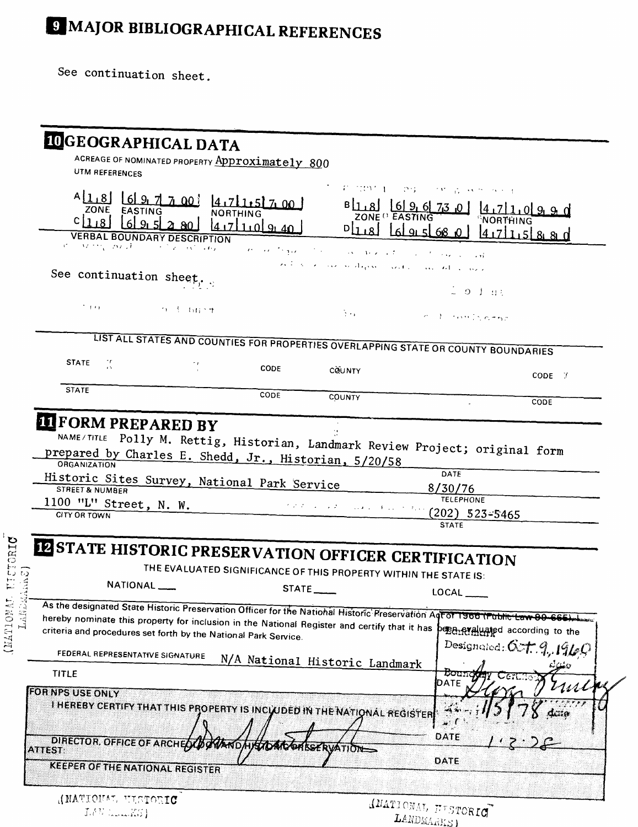# **9 MAJOR BIBLIOGRAPHICAL REFERENCES**

See continuation sheet.

|                                                               |                                                                                                                                    | ACREAGE OF NOMINATED PROPERTY Approximately 800                                                       |                                                                                                                                                                                                                                                                                                                                                                                                                                                           |                                                                                                                               |                          |
|---------------------------------------------------------------|------------------------------------------------------------------------------------------------------------------------------------|-------------------------------------------------------------------------------------------------------|-----------------------------------------------------------------------------------------------------------------------------------------------------------------------------------------------------------------------------------------------------------------------------------------------------------------------------------------------------------------------------------------------------------------------------------------------------------|-------------------------------------------------------------------------------------------------------------------------------|--------------------------|
| UTM REFERENCES                                                |                                                                                                                                    |                                                                                                       |                                                                                                                                                                                                                                                                                                                                                                                                                                                           |                                                                                                                               |                          |
|                                                               |                                                                                                                                    | 4 18 6 9 7 7 00 4 7 1 5 7 00                                                                          |                                                                                                                                                                                                                                                                                                                                                                                                                                                           | FUTOY 1 - 29 - 18 & H S S +                                                                                                   |                          |
| ZONE EASTING<br>C I 1                                         |                                                                                                                                    | <b>NORTHING</b>                                                                                       |                                                                                                                                                                                                                                                                                                                                                                                                                                                           | $B_{11}B$   6   9, 6   7,3,0<br>ZONE <sup>()</sup> EASTING                                                                    | <b>NORTHING</b>          |
|                                                               | <b>VERBAL BOUNDARY DESCRIPTION</b>                                                                                                 | 417110940                                                                                             | $\lceil \ln s \rceil$                                                                                                                                                                                                                                                                                                                                                                                                                                     |                                                                                                                               | 417115880                |
| sto in the work                                               | $\mathcal{F}^{\mathcal{G}}(\mathcal{F})$ and $\mathcal{F}^{\mathcal{G}}(\mathcal{F})$ and $\mathcal{F}^{\mathcal{G}}(\mathcal{F})$ | money thank                                                                                           | $\mathcal{L}(\mathcal{L}^{\mathcal{L}}(\mathcal{L}^{\mathcal{L}}(\mathcal{L}^{\mathcal{L}}(\mathcal{L}^{\mathcal{L}}(\mathcal{L}^{\mathcal{L}}(\mathcal{L}^{\mathcal{L}}(\mathcal{L}^{\mathcal{L}}(\mathcal{L}^{\mathcal{L}}(\mathcal{L}^{\mathcal{L}}(\mathcal{L}^{\mathcal{L}}(\mathcal{L}^{\mathcal{L}}(\mathcal{L}^{\mathcal{L}}(\mathcal{L}^{\mathcal{L}}(\mathcal{L}^{\mathcal{L}}(\mathcal{L}^{\mathcal{L}}(\mathcal{L}^{\mathcal{L}}(\mathcal{L}$ | and a strategic country                                                                                                       |                          |
|                                                               |                                                                                                                                    |                                                                                                       |                                                                                                                                                                                                                                                                                                                                                                                                                                                           | والموارق المترسون والمتحد وتعمله مراميد الحراك فاقتط                                                                          |                          |
| See continuation sheet,                                       |                                                                                                                                    |                                                                                                       |                                                                                                                                                                                                                                                                                                                                                                                                                                                           | $\frac{1}{2}$ 0 $\frac{1}{2}$ at                                                                                              |                          |
| $\sim$ 1.4 $\pm$                                              | $0.1 \, \mathrm{fm}$                                                                                                               |                                                                                                       |                                                                                                                                                                                                                                                                                                                                                                                                                                                           |                                                                                                                               |                          |
|                                                               |                                                                                                                                    |                                                                                                       | <b>Since</b>                                                                                                                                                                                                                                                                                                                                                                                                                                              | colonnization                                                                                                                 |                          |
|                                                               |                                                                                                                                    |                                                                                                       |                                                                                                                                                                                                                                                                                                                                                                                                                                                           | LIST ALL STATES AND COUNTIES FOR PROPERTIES OVERLAPPING STATE OR COUNTY BOUNDARIES                                            |                          |
| <b>STATE</b><br>$\frac{1}{2}$                                 | n p                                                                                                                                |                                                                                                       |                                                                                                                                                                                                                                                                                                                                                                                                                                                           |                                                                                                                               |                          |
|                                                               |                                                                                                                                    | CODE                                                                                                  | COUNTY                                                                                                                                                                                                                                                                                                                                                                                                                                                    |                                                                                                                               | CODE F                   |
| <b>STATE</b>                                                  |                                                                                                                                    | CODE                                                                                                  | COUNTY                                                                                                                                                                                                                                                                                                                                                                                                                                                    |                                                                                                                               |                          |
|                                                               |                                                                                                                                    |                                                                                                       |                                                                                                                                                                                                                                                                                                                                                                                                                                                           |                                                                                                                               | CODE                     |
| <b>IT FORM PREPARED BY</b><br>ORGANIZATION<br>STREET & NUMBER |                                                                                                                                    | prepared by Charles E. Shedd, Jr., Historian, 5/20/58<br>Historic Sites Survey, National Park Service |                                                                                                                                                                                                                                                                                                                                                                                                                                                           | NAME/TITLE Polly M. Rettig, Historian, Landmark Review Project; original form<br>DATE<br>8/30/76<br><b>TELEPHONE</b>          |                          |
| 1100 "L" Street, N. W.                                        |                                                                                                                                    |                                                                                                       | かえすいよう よまいい                                                                                                                                                                                                                                                                                                                                                                                                                                               | アーティッシ                                                                                                                        |                          |
| <b>CITY OR TOWN</b>                                           |                                                                                                                                    |                                                                                                       |                                                                                                                                                                                                                                                                                                                                                                                                                                                           | $(202)$ 523-5465<br><b>STATE</b>                                                                                              |                          |
|                                                               |                                                                                                                                    |                                                                                                       |                                                                                                                                                                                                                                                                                                                                                                                                                                                           |                                                                                                                               |                          |
|                                                               |                                                                                                                                    |                                                                                                       |                                                                                                                                                                                                                                                                                                                                                                                                                                                           | <b>PESTATE HISTORIC PRESERVATION OFFICER CERTIFICATION</b>                                                                    |                          |
|                                                               |                                                                                                                                    |                                                                                                       |                                                                                                                                                                                                                                                                                                                                                                                                                                                           | THE EVALUATED SIGNIFICANCE OF THIS PROPERTY WITHIN THE STATE IS:                                                              |                          |
|                                                               | NATIONAL <sub>_</sub>                                                                                                              |                                                                                                       | STATE                                                                                                                                                                                                                                                                                                                                                                                                                                                     | LOCAL                                                                                                                         |                          |
|                                                               |                                                                                                                                    |                                                                                                       |                                                                                                                                                                                                                                                                                                                                                                                                                                                           | As the designated State Historic Preservation Officer for the National Historic Preservation Aqt of 1966 (Public Law 89-665). |                          |
|                                                               |                                                                                                                                    | criteria and procedures set forth by the National Park Service.                                       |                                                                                                                                                                                                                                                                                                                                                                                                                                                           | hereby nominate this property for inclusion in the National Register and certify that it has percepted according to the       |                          |
| FEDERAL REPRESENTATIVE SIGNATURE                              |                                                                                                                                    |                                                                                                       |                                                                                                                                                                                                                                                                                                                                                                                                                                                           |                                                                                                                               | Designated: Oct. 9, 1960 |
| <b>TITLE</b>                                                  |                                                                                                                                    |                                                                                                       | N/A National Historic Landmark                                                                                                                                                                                                                                                                                                                                                                                                                            | tioun                                                                                                                         |                          |
|                                                               |                                                                                                                                    |                                                                                                       |                                                                                                                                                                                                                                                                                                                                                                                                                                                           | DATE                                                                                                                          |                          |
| FOR NPS USE ONLY                                              |                                                                                                                                    |                                                                                                       |                                                                                                                                                                                                                                                                                                                                                                                                                                                           |                                                                                                                               |                          |
|                                                               |                                                                                                                                    | THEREBY CERTIFY THAT THIS PROPERTY IS INCLUDED IN THE NATIONAL REGISTER                               |                                                                                                                                                                                                                                                                                                                                                                                                                                                           |                                                                                                                               |                          |
| DIRECTOR, OFFICE OF ARCHEOLBORIAND                            |                                                                                                                                    |                                                                                                       |                                                                                                                                                                                                                                                                                                                                                                                                                                                           | DATE                                                                                                                          |                          |
| ATTEST:<br><b>KEEPER OF THE NATIONAL REGISTER</b>             |                                                                                                                                    |                                                                                                       | IKIDAACOASSERVATIONS                                                                                                                                                                                                                                                                                                                                                                                                                                      | DATE                                                                                                                          |                          |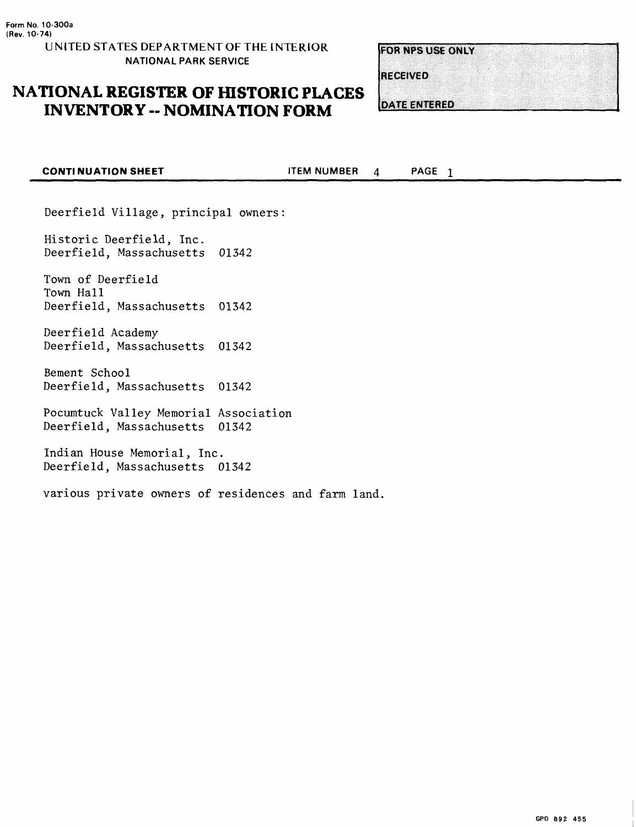# **NATIONAL REGISTER OF HISTORIC PLACES INVENTORY -- NOMINATION FORM**

**FOR NPS USE ONLY** 

**RECEIVED** 

**DATE ENTERED** 

| <b>CONTINUATION SHEET</b>                                  |       | <b>ITEM NUMBER</b> | 4 | PAGE <sub>1</sub> |  |
|------------------------------------------------------------|-------|--------------------|---|-------------------|--|
|                                                            |       |                    |   |                   |  |
| Deerfield Village, principal owners:                       |       |                    |   |                   |  |
| Historic Deerfield, Inc.<br>Deerfield, Massachusetts 01342 |       |                    |   |                   |  |
| Town of Deerfield<br>Town Hall<br>Deerfield, Massachusetts | 01342 |                    |   |                   |  |
| Deerfield Academy<br>Deerfield, Massachusetts 01342        |       |                    |   |                   |  |
| Bement School<br>Deerfield, Massachusetts                  | 01342 |                    |   |                   |  |

Pocumtuck Valley Memorial Association Deerfield, Massachusetts 01342

Indian House Memorial, Inc. Deerfield, Massachusetts 01342

various private owners of residences and farm land.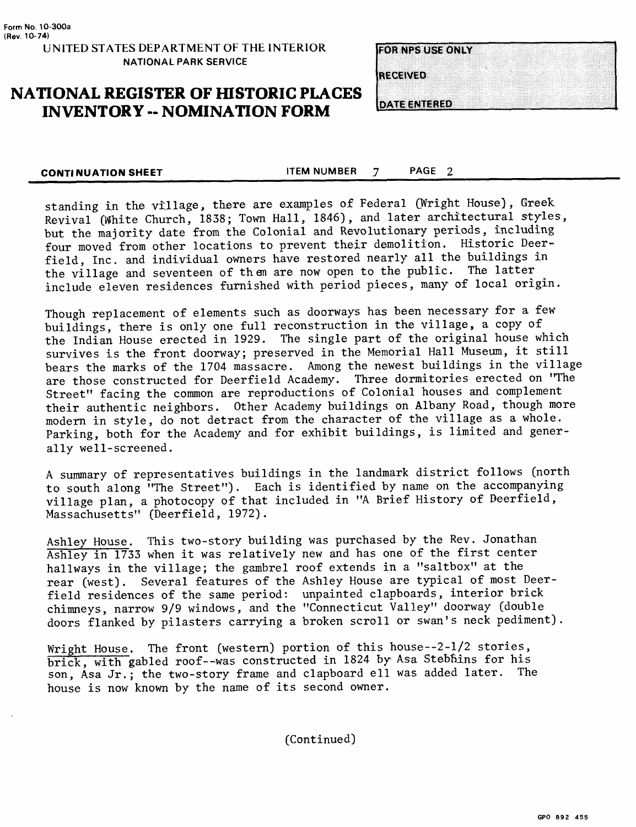## **NATIONAL REGISTER OF HISTORIC PLACES INVENTORY -- NOMINATION FORM**

**FOR NES USE ONLY** 

RECEIVED

DATE ENTERED

**CONTINUATION SHEET** THEM NUMBER 7 PAGE 2

standing in the village, there are examples of Federal (Wright House). Greek. Revival (White Church, 1838; Town Hall, 1846), and later architectural styles, but the majority date from the Colonial and Revolutionary periods, including four moved from other locations to prevent their demolition. Historic Deerfield, Inc. and individual owners have restored nearly all the buildings in the village and seventeen of then are now open to the public. The latter include eleven residences furnished with period pieces, many of local origin.

Though replacement of elements such as doorways has been necessary for a few buildings, there is only one full reconstruction in the village, a copy of the Indian House erected in 1929. The single part of the original house which survives is the front doorway; preserved in the Memorial Hall Museum, it still bears the marks of the 1704 massacre. Among the newest buildings in the village are those constructed for Deerfield Academy. Three dormitories erected on "The Street" facing the common are reproductions of Colonial houses and complement their authentic neighbors. Other Academy buildings on Albany Road, though more modern in style, do not detract from the character of the village as a whole. Parking, both for the Academy and for exhibit buildings, is limited and generally well-screened.

A summary of representatives buildings in the landmark district follows (north to south along "The Street"). Each is identified by name on the accompanying village plan, a photocopy of that included in "A Brief History of Deerfield, Massachusetts" (Deerfield, 1972).

Ashley House. This two-story building was purchased by the Rev. Jonathan Ashley in 1733 when it was relatively new and has one of the first center hallways in the village; the gambrel roof extends in a "saltbox" at the rear (west). Several features of the Ashley House are typical of most Deerfield residences of the same period: unpainted clapboards, interior brick chimneys, narrow 9/9 windows, and the "Connecticut Valley" doorway (double doors flanked by pilasters carrying a broken scroll or swan's neck pediment).

Wright House. The front (western) portion of this house--2-l/2 stories, brick, with gabled roof--was constructed in 1824 by Asa Stebfins for his son, Asa Jr.; the two-story frame and clapboard ell was added later. The house is now known by the name of its second owner.

(Continued)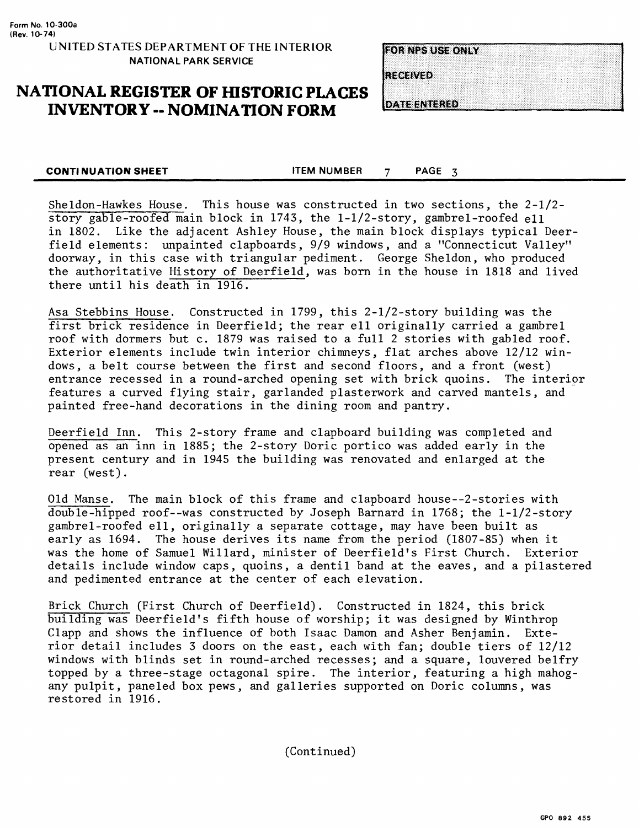## **NATIONAL REGISTER OF HISTORIC PLACES INVENTORY -- NOMINATION FORM**

| <b>FOR NPS USE ONLY</b> |  |  |  |  |  |  |  |  |  |  |  |  |  |  |  |  |  |  |
|-------------------------|--|--|--|--|--|--|--|--|--|--|--|--|--|--|--|--|--|--|
|                         |  |  |  |  |  |  |  |  |  |  |  |  |  |  |  |  |  |  |
|                         |  |  |  |  |  |  |  |  |  |  |  |  |  |  |  |  |  |  |
|                         |  |  |  |  |  |  |  |  |  |  |  |  |  |  |  |  |  |  |
|                         |  |  |  |  |  |  |  |  |  |  |  |  |  |  |  |  |  |  |

**RECEIVED** 

**DATE ENTERED** 

**CONTINUATION SHEET** FIRM NUMBER 7 PAGE 3

Sheldon-Hawkes House. This house was constructed in two sections, the 2-1/2 story gable-roofed main block in 1743, the 1-1/2-story, gambrel-roofed ell in 1802. Like the adjacent Ashley House, the main block displays typical Deerfield elements: unpainted clapboards, 9/9 windows, and a "Connecticut Valley" doorway, in this case with triangular pediment. George Sheldon, who produced the authoritative History of Deerfield, was born in the house in 1818 and lived there until his death in 1916.

Asa Stebbins House. Constructed in 1799, this 2-1/2-story building was the first brick residence in Deerfield; the rear ell originally carried a gambrel roof with dormers but c. 1879 was raised to a full 2 stories with gabled roof. Exterior elements include twin interior chimneys, flat arches above 12/12 windows, a belt course between the first and second floors, and a front (west) entrance recessed in a round-arched opening set with brick quoins. The interipr features a curved flying stair, garlanded plasterwork and carved mantels, and painted free-hand decorations in the dining room and pantry.

Deerfield Inn. This 2-story frame and clapboard building was completed and opened as an inn in 1885; the 2-story Doric portico was added early in the present century and in 1945 the building was renovated and enlarged at the rear (west).

Old Manse. The main block of this frame and clapboard house--2-stories with double-hipped roof--was constructed by Joseph Barnard in 1768; the 1-1/2-story gambrel-roofed ell, originally a separate cottage, may have been built as early as 1694. The house derives its name from the period (1807-85) when it was the home of Samuel Willard, minister of Deerfield's First Church. Exterior details include window caps, quoins, a dentil band at the eaves, and a pilastered and pedimented entrance at the center of each elevation.

Brick Church (First Church of Deerfield). Constructed in 1824, this brick building was Deerfield's fifth house of worship; it was designed by Winthrop Clapp and shows the influence of both Isaac Damon and Asher Benjamin. Exterior detail includes 3 doors on the east, each with fan; double tiers of 12/12 windows with blinds set in round-arched recesses; and a square, louvered belfry topped by a three-stage octagonal spire. The interior, featuring a high mahogany pulpit, paneled box pews, and galleries supported on Doric columns, was restored in 1916.

(Continued)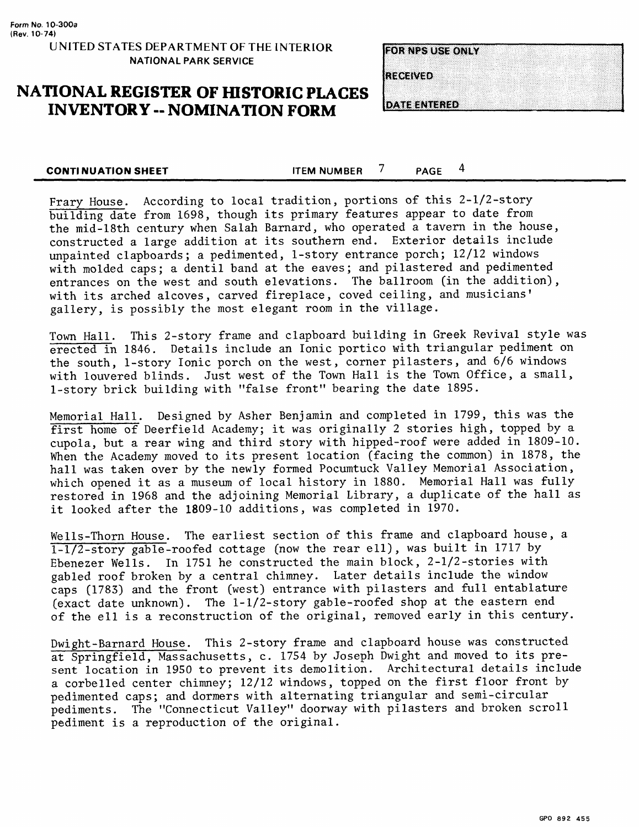# **NATIONAL REGISTER OF HISTORIC PLACES INVENTORY -- NOMINATION FORM**

**FOR NPS USE ONLY** 

RECEIVED

**CONTINUATION SHEET** THEM NUMBER  $\frac{7}{100}$  PAGE  $\frac{4}{100}$ 

Frary House. According to local tradition, portions of this 2-1/2-story building date from 1698, though its primary features appear to date from the mid-18th century when Salah Barnard, who operated a tavern in the house, constructed a large addition at its southern end. Exterior details include unpainted clapboards; a pedimented, 1-story entrance porch; 12/12 windows with molded caps; a dentil band at the eaves; and pilastered and pedimented entrances on the west and south elevations. The ballroom (in the addition), with its arched alcoves, carved fireplace, coved ceiling, and musicians' gallery, is possibly the most elegant room in the village.

Town Hall. This 2-story frame and clapboard building in Greek Revival style was erected in 1846. Details include an Ionic portico with triangular pediment on the south, 1-story Ionic porch on the west, corner pilasters, and 6/6 windows with louvered blinds. Just west of the Town Hall is the Town Office, a small, 1-story brick building with "false front" bearing the date 1895.

Memorial Hall. Designed by Asher Benjamin and completed in 1799, this was the first home of Deerfield Academy; it was originally 2 stories high, topped by a cupola, but a rear wing and third story with hipped-roof were added in 1809-10. When the Academy moved to its present location (facing the common) in 1878, the hall was taken over by the newly formed Pocumtuck Valley Memorial Association, which opened it as a museum of local history in 1880. Memorial Hall was fully restored in 1968 and the adjoining Memorial Library, a duplicate of the hall as it looked after the 1809-10 additions, was completed in 1970.

Wells-Thorn House. The earliest section of this frame and clapboard house, a 1-1/2-story gable-roofed cottage (now the rear ell), was built in 1717 by Ebenezer Wells. In 1751 he constructed the main block, 2-1/2-stories with gabled roof broken by a central chimney. Later details include the window caps (1783) and the front (west) entrance with pilasters and full entablature (exact date unknown). The 1-1/2-story gable-roofed shop at the eastern end of the ell is a reconstruction of the original, removed early in this century.

Dwight-Barnard House. This 2-story frame and clapboard house was constructed at Springfield, Massachusetts, c. 1754 by Joseph Dwight and moved to its present location in 1950 to prevent its demolition. Architectural details include a corbelled center chimney; 12/12 windows, topped on the first floor front by pedimented caps; and dormers with alternating triangular and semi-circular pediments. The "Connecticut Valley" doorway with pilasters and broken scroll pediment is a reproduction of the original.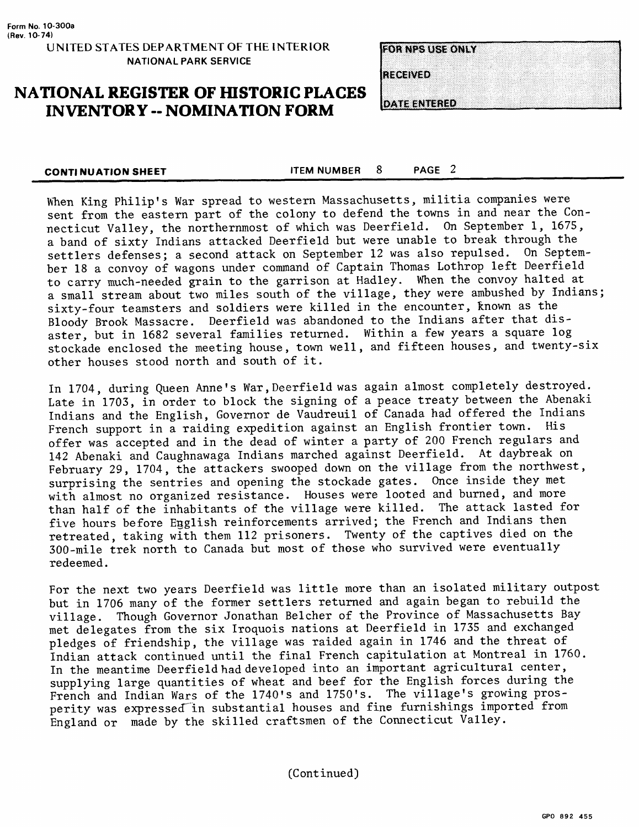# **NATIONAL REGISTER OF HISTORIC PLACES INVENTORY -- NOMINATION FORM**

**FOR NPS USE ONLY** 

**RECEIVED** 

**DATE ENTERED** 

**CONTINUATION SHEET** FOR THEM NUMBER 8 PAGE 2

When King Philip's War spread to western Massachusetts, militia companies were sent from the eastern part of the colony to defend the towns in and near the Connecticut Valley, the northernmost of which was Deerfield. On September 1, 1675, a band of sixty Indians attacked Deerfield but were unable to break through the settlers defenses; a second attack on September 12 was also repulsed. On September 18 a convoy of wagons under command of Captain Thomas Lothrop left Deerfield to carry much-needed grain to the garrison at Hadley. When the convoy halted at a small stream about two miles south of the village, they were ambushed by Indians; sixty-four teamsters and soldiers were killed in the encounter, known as the Bloody Brook Massacre. Deerfield was abandoned to the Indians after that disaster, but in 1682 several families returned. Within a few years a square log stockade enclosed the meeting house, town well, and fifteen houses, and twenty-six other houses stood north and south of it.

In 1704, during Queen Anne's War, Deerfield was again almost completely destroyed. Late in 1703, in order to block the signing of a peace treaty between the Abenaki Indians and the English, Governor de Vaudreuil of Canada had offered the Indians French support in a raiding expedition against an English frontier town. His offer was accepted and in the dead of winter a party of 200 French regulars and 142 Abenaki and Caughnawaga Indians marched against Deerfield. At daybreak on February 29, 1704, the attackers swooped down on the village from the northwest, surprising the sentries and opening the stockade gates. Once inside they met with almost no organized resistance. Houses were looted and burned, and more than half of the inhabitants of the village were killed. The attack lasted for five hours before English reinforcements arrived; the French and Indians then retreated, taking with them 112 prisoners. Twenty of the captives died on the 300-mile trek north to Canada but most of those who survived were eventually redeemed.

For the next two years Deerfield was little more than an isolated military outpost but in 1706 many of the former settlers returned and again began to rebuild the village. Though Governor Jonathan Belcher of the Province of Massachusetts Bay met delegates from the six Iroquois nations at Deerfield in 1735 and exchanged pledges of friendship, the village was raided again in 1746 and the threat of Indian attack continued until the final French capitulation at Montreal in 1760. In the meantime Deerfield had developed into an important agricultural center, supplying large quantities of wheat and beef for the English forces during the French and Indian Wars of the 1740's and 1750's. The village's growing prosperity was expressed in substantial houses and fine furnishings imported from England or made by the skilled craftsmen of the Connecticut Valley.

(Continued)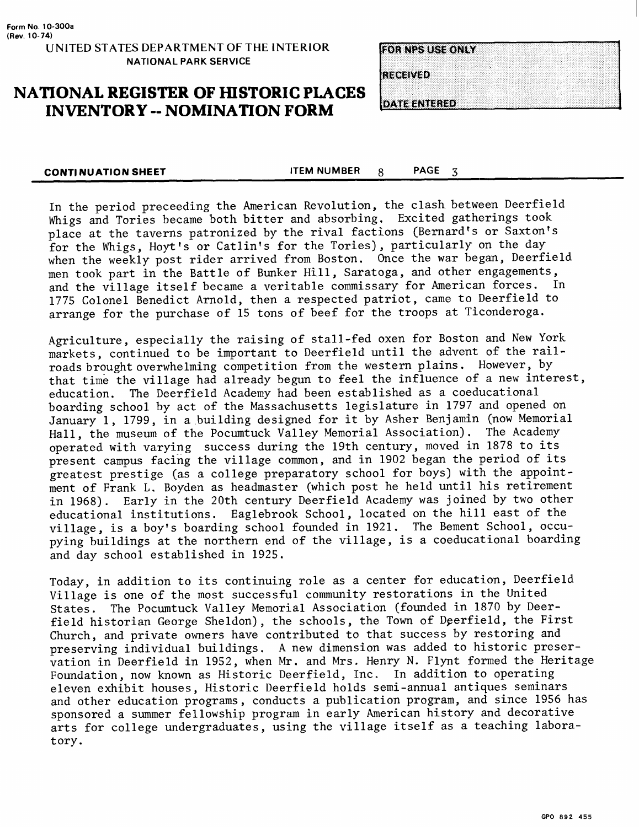### **NATIONAL REGISTER OF HISTORIC PLACES INVENTORY - NOMINATION FORM**

**FOR NPS USE ONLY** 

RECEIVED

**DATE ENTERED** 

**CONTINUATION SHEET** THEM NUMBER  $\overline{8}$  PAGE 3

In the period preceeding the American Revolution, the clash, between Deerfield Whigs and Tories became both bitter and absorbing. Excited gatherings took place at the taverns patronized by the rival factions (Bernard's or Saxton's for the Whigs, Hoyt's or Catlin's for the Tories), particularly on the day^ when the weekly post rider arrived from Boston. Once the war began, Deerfield men took part in the Battle of Bunker Hill, Saratoga, and other engagements, and the village itself became a veritable commissary for American forces. 1775 Colonel Benedict Arnold, then a respected patriot, came to Deerfield to arrange for the purchase of 15 tons of beef for the troops at Ticonderoga.

Agriculture, especially the raising of stall-fed oxen for Boston and New York markets, continued to be important to Deerfield until the advent of the railroads brought overwhelming competition from the western plains. However, by that time the village had already begun to feel the influence of a new interest, education. The Deerfield Academy had been established as a coeducational boarding school by act of the Massachusetts legislature in 1797 and opened on January 1, 1799, in a building designed for it by Asher Benjamin (now Memorial Hall, the museum of the Pocumtuck Valley Memorial Association). The Academy operated with varying success during the 19th century, moved in 1878 to its present campus facing the village common, and in 1902 began the period of its greatest prestige (as a college preparatory school for boys) with the appointment of Frank L. Boyden as headmaster (which post he held until his retirement in 1968). Early in the 20th century Deerfield Academy was joined by two other educational institutions. Eaglebrook School, located on the hill east of the village, is a boy's boarding school founded in 1921. The Bement School, occupying buildings at the northern end of the village, is a coeducational boarding and day school established in 1925.

Today, in addition to its continuing role as a center for education, Deerfield Village is one of the most successful community restorations in the United States. The Pocumtuck Valley Memorial Association (founded in 1870 by Deerfield historian George Sheldon), the schools, the Town of Deerfield, the First Church, and private owners have contributed to that success by restoring and preserving individual buildings. A new dimension was added to historic preservation in Deerfield in 1952, when Mr. and Mrs. Henry N. Flynt formed the Heritage Foundation, now known as Historic Deerfield, Inc. In addition to operating eleven exhibit houses, Historic Deerfield holds semi-annual antiques seminars and other education programs, conducts a publication program, and since 1956 has sponsored a summer fellowship program in early American history and decorative arts for college undergraduates, using the village itself as a teaching laboratory.